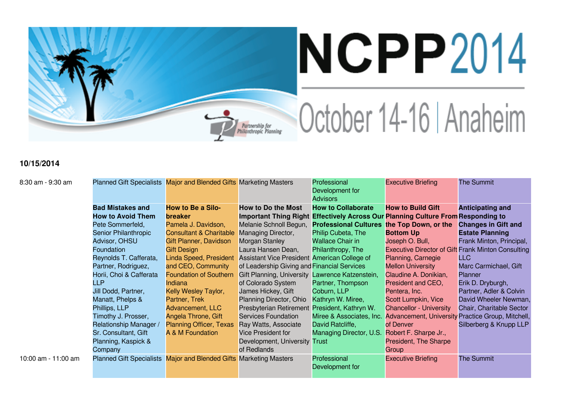

## NCPP2014 October 14-16 | Anaheim

## **10/15/2014**

| 8:30 am - 9:30 am   | Planned Gift Specialists Major and Blended Gifts Marketing Masters |                                    |                                             | Professional<br>Development for<br><b>Advisors</b> | <b>Executive Briefing</b>                                         | <b>The Summit</b>          |
|---------------------|--------------------------------------------------------------------|------------------------------------|---------------------------------------------|----------------------------------------------------|-------------------------------------------------------------------|----------------------------|
|                     | <b>Bad Mistakes and</b>                                            | <b>How to Be a Silo-</b>           | <b>How to Do the Most</b>                   | <b>How to Collaborate</b>                          | <b>How to Build Gift</b>                                          | <b>Anticipating and</b>    |
|                     | <b>How to Avoid Them</b>                                           | <b>breaker</b>                     | <b>Important Thing Right</b>                |                                                    | <b>Effectively Across Our Planning Culture From Responding to</b> |                            |
|                     | Pete Sommerfeld,                                                   | Pamela J. Davidson,                | Melanie Schnoll Begun,                      | Professional Cultures the Top Down, or the         |                                                                   | <b>Changes in Gift and</b> |
|                     | Senior Philanthropic                                               | <b>Consultant &amp; Charitable</b> | <b>Managing Director,</b>                   | Philip Cubeta, The                                 | <b>Bottom Up</b>                                                  | <b>Estate Planning</b>     |
|                     | Advisor, OHSU                                                      | Gift Planner, Davidson             | Morgan Stanley                              | <b>Wallace Chair in</b>                            | Joseph O. Bull,                                                   | Frank Minton, Principal,   |
|                     | Foundation                                                         | <b>Gift Design</b>                 | Laura Hansen Dean,                          | Philanthropy, The                                  | <b>Executive Director of Gift Frank Minton Consulting</b>         |                            |
|                     | Reynolds T. Cafferata,                                             | Linda Speed, President             | <b>Assistant Vice President</b>             | American College of                                | Planning, Carnegie                                                | <b>LLC</b>                 |
|                     | Partner, Rodriguez,                                                | and CEO, Community                 | of Leadership Giving and Financial Services |                                                    | <b>Mellon University</b>                                          | Marc Carmichael, Gift      |
|                     | Horii, Choi & Cafferata                                            | <b>Foundation of Southern</b>      | <b>Gift Planning, University</b>            | Lawrence Katzenstein,                              | Claudine A. Donikian,                                             | <b>Planner</b>             |
|                     | <b>LLP</b>                                                         | Indiana                            | of Colorado System                          | Partner, Thompson                                  | President and CEO,                                                | Erik D. Dryburgh,          |
|                     | Jill Dodd, Partner,                                                | Kelly Wesley Taylor,               | James Hickey, Gift                          | Coburn, LLP                                        | Pentera, Inc.                                                     | Partner, Adler & Colvin    |
|                     | Manatt, Phelps &                                                   | Partner, Trek                      | Planning Director, Ohio                     | Kathryn W. Miree,                                  | Scott Lumpkin, Vice                                               | David Wheeler Newman,      |
|                     | Phillips, LLP                                                      | Advancement, LLC                   | Presbyterian Retirement                     | President, Kathryn W.                              | <b>Chancellor - University</b>                                    | Chair, Charitable Sector   |
|                     | Timothy J. Prosser,                                                | Angela Throne, Gift                | <b>Services Foundation</b>                  | Miree & Associates, Inc.                           | Advancement, University Practice Group, Mitchell,                 |                            |
|                     | Relationship Manager /                                             | <b>Planning Officer, Texas</b>     | Ray Watts, Associate                        | David Ratcliffe,                                   | of Denver                                                         | Silberberg & Knupp LLP     |
|                     | Sr. Consultant, Gift                                               | A & M Foundation                   | <b>Vice President for</b>                   | Managing Director, U.S.                            | Robert F. Sharpe Jr.,                                             |                            |
|                     | Planning, Kaspick &                                                |                                    | Development, University Trust               |                                                    | President, The Sharpe                                             |                            |
|                     | Company                                                            |                                    | of Redlands                                 |                                                    | Group                                                             |                            |
| 10:00 am - 11:00 am | Planned Gift Specialists Major and Blended Gifts Marketing Masters |                                    |                                             | Professional                                       | <b>Executive Briefing</b>                                         | <b>The Summit</b>          |
|                     |                                                                    |                                    |                                             | Development for                                    |                                                                   |                            |
|                     |                                                                    |                                    |                                             |                                                    |                                                                   |                            |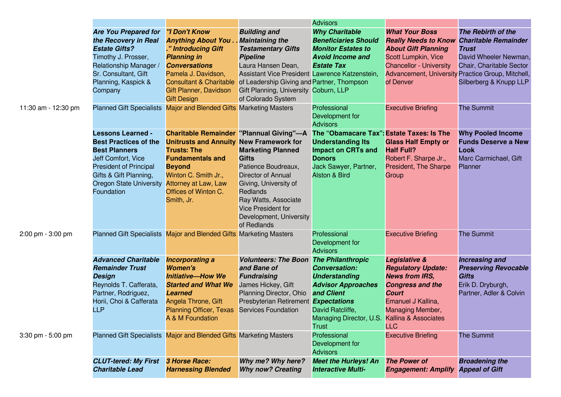|                     |                                                                                                                                                                                                                   |                                                                                                                                                                                                                                                           |                                                                                                                                                                                                                                                                                    | <b>Advisors</b>                                                                                                                                                                                         |                                                                                                                                                                        |                                                                                                                                                                                                       |
|---------------------|-------------------------------------------------------------------------------------------------------------------------------------------------------------------------------------------------------------------|-----------------------------------------------------------------------------------------------------------------------------------------------------------------------------------------------------------------------------------------------------------|------------------------------------------------------------------------------------------------------------------------------------------------------------------------------------------------------------------------------------------------------------------------------------|---------------------------------------------------------------------------------------------------------------------------------------------------------------------------------------------------------|------------------------------------------------------------------------------------------------------------------------------------------------------------------------|-------------------------------------------------------------------------------------------------------------------------------------------------------------------------------------------------------|
|                     | <b>Are You Prepared for</b><br>the Recovery in Real<br><b>Estate Gifts?</b><br>Timothy J. Prosser,<br>Relationship Manager /<br>Sr. Consultant, Gift<br>Planning, Kaspick &<br>Company                            | <b>"I Don't Know</b><br><b>Anything About You.</b><br>." Introducing Gift<br><b>Planning in</b><br><b>Conversations</b><br>Pamela J. Davidson,<br><b>Consultant &amp; Charitable</b><br>Gift Planner, Davidson<br><b>Gift Design</b>                      | <b>Building and</b><br><b>Maintaining the</b><br><b>Testamentary Gifts</b><br><b>Pipeline</b><br>Laura Hansen Dean,<br>Assistant Vice President Lawrence Katzenstein,<br>of Leadership Giving and Partner, Thompson<br>Gift Planning, University Coburn, LLP<br>of Colorado System | <b>Why Charitable</b><br><b>Beneficiaries Should</b><br><b>Monitor Estates to</b><br><b>Avoid Income and</b><br><b>Estate Tax</b>                                                                       | <b>What Your Boss</b><br><b>Really Needs to Know</b><br><b>About Gift Planning</b><br>Scott Lumpkin, Vice<br><b>Chancellor - University</b><br>of Denver               | The Rebirth of the<br><b>Charitable Remainder</b><br><b>Trust</b><br>David Wheeler Newman,<br>Chair, Charitable Sector<br>Advancement, University Practice Group, Mitchell,<br>Silberberg & Knupp LLP |
| 11:30 am - 12:30 pm | <b>Planned Gift Specialists</b>                                                                                                                                                                                   | Major and Blended Gifts Marketing Masters                                                                                                                                                                                                                 |                                                                                                                                                                                                                                                                                    | Professional<br>Development for<br><b>Advisors</b>                                                                                                                                                      | <b>Executive Briefing</b>                                                                                                                                              | <b>The Summit</b>                                                                                                                                                                                     |
|                     | <b>Lessons Learned -</b><br><b>Best Practices of the</b><br><b>Best Planners</b><br>Jeff Comfort, Vice<br><b>President of Principal</b><br>Gifts & Gift Planning,<br><b>Oregon State University</b><br>Foundation | <b>Charitable Remainder "Plannual Giving"-A</b><br><b>Unitrusts and Annuity New Framework for</b><br><b>Trusts: The</b><br><b>Fundamentals and</b><br><b>Beyond</b><br>Winton C. Smith Jr.,<br>Attorney at Law, Law<br>Offices of Winton C.<br>Smith, Jr. | <b>Marketing Planned</b><br>Gifts<br>Patience Boudreaux,<br>Director of Annual<br>Giving, University of<br>Redlands<br>Ray Watts, Associate<br><b>Vice President for</b><br>Development, University<br>of Redlands                                                                 | The "Obamacare Tax": Estate Taxes: Is The<br><b>Understanding Its</b><br><b>Impact on CRTs and</b><br><b>Donors</b><br>Jack Sawyer, Partner,<br><b>Alston &amp; Bird</b>                                | <b>Glass Half Empty or</b><br><b>Half Full?</b><br>Robert F. Sharpe Jr.,<br>President, The Sharpe<br>Group                                                             | <b>Why Pooled Income</b><br><b>Funds Deserve a New</b><br><b>Look</b><br>Marc Carmichael, Gift<br>Planner                                                                                             |
| 2:00 pm - 3:00 pm   |                                                                                                                                                                                                                   | Planned Gift Specialists Major and Blended Gifts Marketing Masters                                                                                                                                                                                        |                                                                                                                                                                                                                                                                                    | Professional<br>Development for<br><b>Advisors</b>                                                                                                                                                      | <b>Executive Briefing</b>                                                                                                                                              | <b>The Summit</b>                                                                                                                                                                                     |
|                     | <b>Advanced Charitable</b><br><b>Remainder Trust</b><br><b>Design</b><br>Reynolds T. Cafferata,<br>Partner, Rodriguez,<br>Horii, Choi & Cafferata<br><b>LLP</b>                                                   | <b>Incorporating a</b><br><b>Women's</b><br><b>Initiative-How We</b><br><b>Started and What We</b><br><b>Learned</b><br>Angela Throne, Gift<br><b>Planning Officer, Texas</b><br>A & M Foundation                                                         | <b>Volunteers: The Boon</b><br>and Bane of<br><b>Fundraising</b><br>James Hickey, Gift<br>Planning Director, Ohio<br>Presbyterian Retirement Expectations<br><b>Services Foundation</b>                                                                                            | <b>The Philanthropic</b><br><b>Conversation:</b><br><b>Understanding</b><br><b>Advisor Approaches</b><br>and Client<br>David Ratcliffe,<br>Managing Director, U.S. Kallina & Associates<br><b>Trust</b> | Legislative &<br><b>Regulatory Update:</b><br><b>News from IRS,</b><br><b>Congress and the</b><br><b>Court</b><br>Emanuel J Kallina,<br>Managing Member,<br><b>LLC</b> | <b>Increasing and</b><br><b>Preserving Revocable</b><br><b>Gifts</b><br>Erik D. Dryburgh,<br>Partner, Adler & Colvin                                                                                  |
| 3:30 pm - 5:00 pm   |                                                                                                                                                                                                                   | Planned Gift Specialists Major and Blended Gifts Marketing Masters                                                                                                                                                                                        |                                                                                                                                                                                                                                                                                    | Professional<br>Development for<br><b>Advisors</b>                                                                                                                                                      | <b>Executive Briefing</b>                                                                                                                                              | <b>The Summit</b>                                                                                                                                                                                     |
|                     | <b>CLUT-tered: My First</b><br><b>Charitable Lead</b>                                                                                                                                                             | 3 Horse Race:<br><b>Harnessing Blended</b>                                                                                                                                                                                                                | Why me? Why here?<br><b>Why now? Creating</b>                                                                                                                                                                                                                                      | <b>Meet the Hurleys! An</b><br><b>Interactive Multi-</b>                                                                                                                                                | <b>The Power of</b><br><b>Engagement: Amplify</b>                                                                                                                      | <b>Broadening the</b><br><b>Appeal of Gift</b>                                                                                                                                                        |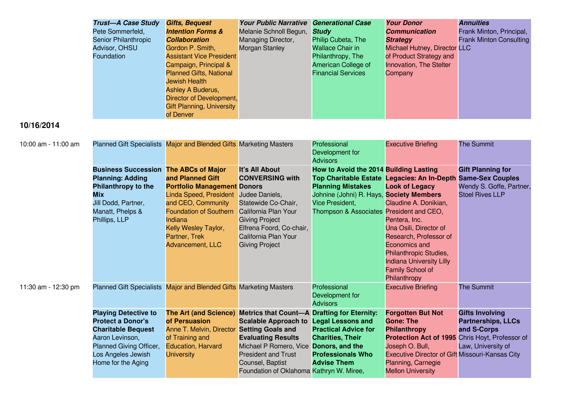| <b>Trust-A Case Study</b>   | <b>Gifts, Bequest</b>            | <b>Your Public Narrative</b> | <b>Generational Case</b>  | <b>Your Donor</b>            | <b>Annuities</b>               |
|-----------------------------|----------------------------------|------------------------------|---------------------------|------------------------------|--------------------------------|
| Pete Sommerfeld,            | <b>Intention Forms &amp;</b>     | Melanie Schnoll Begun,       | <b>Study</b>              | <b>Communication</b>         | Frank Minton, Principal,       |
| <b>Senior Philanthropic</b> | <b>Collaboration</b>             | Managing Director,           | Philip Cubeta, The        | <b>Strategy</b>              | <b>Frank Minton Consulting</b> |
| Advisor, OHSU               | Gordon P. Smith,                 | Morgan Stanley               | Wallace Chair in          | Michael Hutney, Director LLC |                                |
| Foundation                  | <b>Assistant Vice President</b>  |                              | Philanthropy, The         | of Product Strategy and      |                                |
|                             | Campaign, Principal &            |                              | American College of       | Innovation, The Stelter      |                                |
|                             | <b>Planned Gifts, National</b>   |                              | <b>Financial Services</b> | Company                      |                                |
|                             | <b>Jewish Health</b>             |                              |                           |                              |                                |
|                             | Ashley A Buderus,                |                              |                           |                              |                                |
|                             | Director of Development,         |                              |                           |                              |                                |
|                             | <b>Gift Planning, University</b> |                              |                           |                              |                                |
|                             | of Denver                        |                              |                           |                              |                                |

## **10/16/2014**

| 10:00 am - 11:00 am |                                                                                                                                                                                | Planned Gift Specialists Major and Blended Gifts Marketing Masters                                                                                                                                                                          |                                                                                                                                                                                                                                                                    | Professional<br>Development for<br><b>Advisors</b>                                                                                                                            | <b>Executive Briefing</b>                                                                                                                                                                                                                                                                   | <b>The Summit</b>                                                                                         |
|---------------------|--------------------------------------------------------------------------------------------------------------------------------------------------------------------------------|---------------------------------------------------------------------------------------------------------------------------------------------------------------------------------------------------------------------------------------------|--------------------------------------------------------------------------------------------------------------------------------------------------------------------------------------------------------------------------------------------------------------------|-------------------------------------------------------------------------------------------------------------------------------------------------------------------------------|---------------------------------------------------------------------------------------------------------------------------------------------------------------------------------------------------------------------------------------------------------------------------------------------|-----------------------------------------------------------------------------------------------------------|
|                     | <b>Business Succession</b><br><b>Planning: Adding</b><br>Philanthropy to the<br><b>Mix</b><br>Jill Dodd, Partner,<br>Manatt, Phelps &<br>Phillips, LLP                         | <b>The ABCs of Major</b><br>and Planned Gift<br><b>Portfolio Management Donors</b><br>Linda Speed, President<br>and CEO, Community<br><b>Foundation of Southern</b><br>Indiana<br>Kelly Wesley Taylor,<br>Partner, Trek<br>Advancement, LLC | <b>It's All About</b><br><b>CONVERSING with</b><br>Judee Daniels,<br>Statewide Co-Chair,<br>California Plan Your<br><b>Giving Project</b><br>Elfrena Foord, Co-chair,<br>California Plan Your<br><b>Giving Project</b>                                             | How to Avoid the 2014 Building Lasting<br><b>Planning Mistakes</b><br>Johnine (Johni) R. Hays, Society Members<br>Vice President.<br>Thompson & Associates President and CEO, | Top Charitable Estate Legacies: An In-Depth<br><b>Look of Legacy</b><br>Claudine A. Donikian,<br>Pentera, Inc.<br>Una Osili, Director of<br>Research, Professor of<br>Economics and<br>Philanthropic Studies,<br><b>Indiana University Lilly</b><br><b>Family School of</b><br>Philanthropy | <b>Gift Planning for</b><br><b>Same-Sex Couples</b><br>Wendy S. Goffe, Partner,<br><b>Stoel Rives LLP</b> |
| 11:30 am - 12:30 pm |                                                                                                                                                                                | Planned Gift Specialists Major and Blended Gifts Marketing Masters                                                                                                                                                                          |                                                                                                                                                                                                                                                                    | Professional<br>Development for<br><b>Advisors</b>                                                                                                                            | <b>Executive Briefing</b>                                                                                                                                                                                                                                                                   | <b>The Summit</b>                                                                                         |
|                     | <b>Playing Detective to</b><br><b>Protect a Donor's</b><br><b>Charitable Bequest</b><br>Aaron Levinson,<br>Planned Giving Officer,<br>Los Angeles Jewish<br>Home for the Aging | <b>The Art (and Science)</b><br>of Persuasion<br>Anne T. Melvin, Director<br>of Training and<br><b>Education, Harvard</b><br><b>University</b>                                                                                              | <b>Metrics that Count-A Drafting for Eternity:</b><br><b>Scalable Approach to</b><br><b>Setting Goals and</b><br><b>Evaluating Results</b><br>Michael P Romero, Vice<br><b>President and Trust</b><br>Counsel, Baptist<br>Foundation of Oklahoma Kathryn W. Miree, | <b>Legal Lessons and</b><br><b>Practical Advice for</b><br><b>Charities, Their</b><br>Donors, and the<br><b>Professionals Who</b><br><b>Advise Them</b>                       | <b>Forgotten But Not</b><br><b>Gone: The</b><br><b>Philanthropy</b><br>Protection Act of 1995 Chris Hoyt, Professor of<br>Joseph O. Bull,<br>Executive Director of Gift Missouri-Kansas City<br>Planning, Carnegie<br><b>Mellon University</b>                                              | <b>Gifts Involving</b><br><b>Partnerships, LLCs</b><br>and S-Corps<br>Law, University of                  |